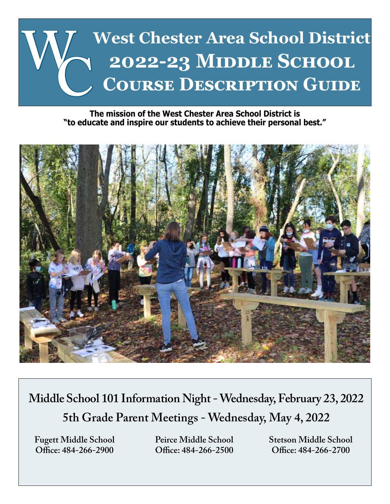

#### **The mission of the West Chester Area School District is "to educate and inspire our students to achieve their personal best."**



**Middle School 101 Information Night - Wednesday, February 23, 2022 5th Grade Parent Meetings - Wednesday, May 4, 2022**

**Office: 484-266-2900 Office: 484-266-2500 Office: 484-266-2700**

**Fugett Middle School Peirce Middle School Stetson Middle School**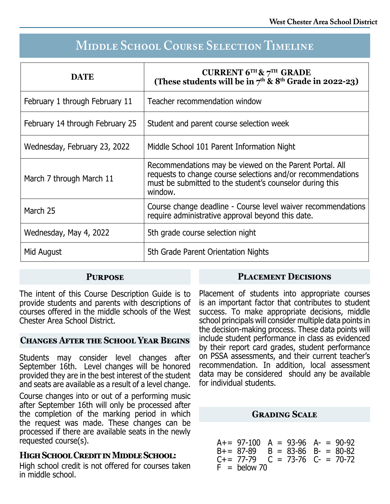# **Middle School Course Selection Timeline**

| <b>DATE</b>                     | <b>CURRENT 6TH &amp; 7TH GRADE</b><br>(These students will be in $7th$ & $8th$ Grade in 2022-23)                                                                                              |
|---------------------------------|-----------------------------------------------------------------------------------------------------------------------------------------------------------------------------------------------|
| February 1 through February 11  | Teacher recommendation window                                                                                                                                                                 |
| February 14 through February 25 | Student and parent course selection week                                                                                                                                                      |
| Wednesday, February 23, 2022    | Middle School 101 Parent Information Night                                                                                                                                                    |
| March 7 through March 11        | Recommendations may be viewed on the Parent Portal. All<br>requests to change course selections and/or recommendations<br>must be submitted to the student's counselor during this<br>window. |
| March 25                        | Course change deadline - Course level waiver recommendations<br>require administrative approval beyond this date.                                                                             |
| Wednesday, May 4, 2022          | 5th grade course selection night                                                                                                                                                              |
| Mid August                      | 5th Grade Parent Orientation Nights                                                                                                                                                           |

# **Purpose**

The intent of this Course Description Guide is to provide students and parents with descriptions of courses offered in the middle schools of the West Chester Area School District.

# **Changes After the School Year Begins**

Students may consider level changes after September 16th. Level changes will be honored provided they are in the best interest of the student and seats are available as a result of a level change.

Course changes into or out of a performing music after September 16th will only be processed after the completion of the marking period in which the request was made. These changes can be processed if there are available seats in the newly requested course(s).

# **High School Credit in Middle School:**

High school credit is not offered for courses taken in middle school.

Placement of students into appropriate courses is an important factor that contributes to student success. To make appropriate decisions, middle school principals will consider multiple data points in the decision-making process. These data points will include student performance in class as evidenced by their report card grades, student performance on PSSA assessments, and their current teacher's recommendation. In addition, local assessment data may be considered should any be available for individual students.

**Placement Decisions**

# **Grading Scale**

A+= 97-100 A = 93-96 A- = 90-92 B+= 87-89 B = 83-86 B- = 80-82  $C = 73-76$   $C = 70-72$  $F =$  below 70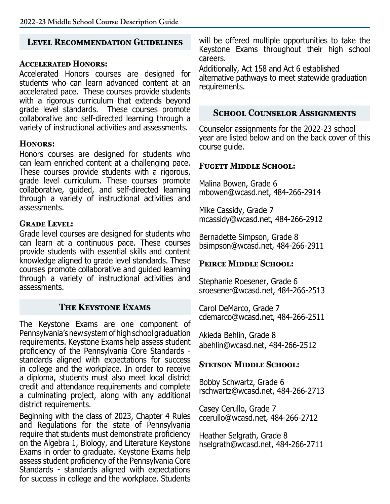# **Level Recommendation Guidelines**

### **Accelerated Honors:**

Accelerated Honors courses are designed for students who can learn advanced content at an accelerated pace. These courses provide students with a rigorous curriculum that extends beyond grade level standards. These courses promote collaborative and self-directed learning through a variety of instructional activities and assessments.

# **Honors:**

Honors courses are designed for students who can learn enriched content at a challenging pace. These courses provide students with a rigorous, grade level curriculum. These courses promote collaborative, guided, and self-directed learning through a variety of instructional activities and assessments.

# **Grade Level:**

Grade level courses are designed for students who can learn at a continuous pace. These courses provide students with essential skills and content knowledge aligned to grade level standards. These courses promote collaborative and guided learning through a variety of instructional activities and assessments.

# **The Keystone Exams**

The Keystone Exams are one component of Pennsylvania's new system of high school graduation requirements. Keystone Exams help assess student proficiency of the Pennsylvania Core Standards standards aligned with expectations for success in college and the workplace. In order to receive a diploma, students must also meet local district credit and attendance requirements and complete a culminating project, along with any additional district requirements.

Beginning with the class of 2023, Chapter 4 Rules and Regulations for the state of Pennsylvania require that students must demonstrate proficiency on the Algebra 1, Biology, and Literature Keystone Exams in order to graduate. Keystone Exams help assess student proficiency of the Pennsylvania Core Standards - standards aligned with expectations for success in college and the workplace. Students

will be offered multiple opportunities to take the Keystone Exams throughout their high school careers.

Additionally, Act 158 and Act 6 established alternative pathways to meet statewide graduation requirements.

### **School Counselor Assignments**

Counselor assignments for the 2022-23 school year are listed below and on the back cover of this course guide.

### **Fugett Middle School:**

Malina Bowen, Grade 6 mbowen@wcasd.net, 484-266-2914

Mike Cassidy, Grade 7 mcassidy@wcasd.net, 484-266-2912

Bernadette Simpson, Grade 8 bsimpson@wcasd.net, 484-266-2911

# PEIRCE MIDDLE SCHOOL:

Stephanie Roesener, Grade 6 sroesener@wcasd.net, 484-266-2513

Carol DeMarco, Grade 7 cdemarco@wcasd.net, 484-266-2511

Akieda Behlin, Grade 8 abehlin@wcasd.net, 484-266-2512

#### **STETSON MIDDLE SCHOOL:**

Bobby Schwartz, Grade 6 rschwartz@wcasd.net, 484-266-2713

Casey Cerullo, Grade 7 ccerullo@wcasd.net, 484-266-2712

Heather Selgrath, Grade 8 hselgrath@wcasd.net, 484-266-2711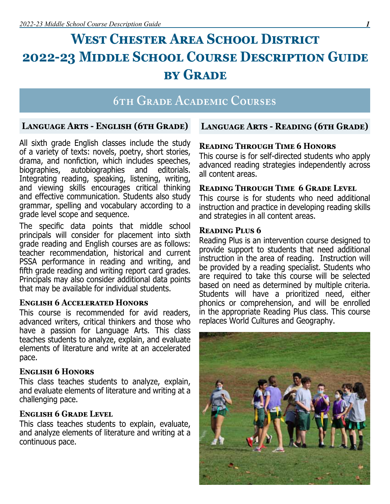# WEST CHESTER AREA SCHOOL DISTRICT **2022-23 Middle School Course Description Guide by Grade**

# **6th Grade Academic Courses**

#### **Language Arts - English (6th Grade)**

All sixth grade English classes include the study of a variety of texts: novels, poetry, short stories, drama, and nonfiction, which includes speeches, biographies, autobiographies and editorials. Integrating reading, speaking, listening, writing, and viewing skills encourages critical thinking and effective communication. Students also study grammar, spelling and vocabulary according to a grade level scope and sequence.

The specific data points that middle school principals will consider for placement into sixth grade reading and English courses are as follows: teacher recommendation, historical and current PSSA performance in reading and writing, and fifth grade reading and writing report card grades. Principals may also consider additional data points that may be available for individual students.

#### **English 6 Accelerated Honors**

This course is recommended for avid readers, advanced writers, critical thinkers and those who have a passion for Language Arts. This class teaches students to analyze, explain, and evaluate elements of literature and write at an accelerated pace.

#### **English 6 Honors**

This class teaches students to analyze, explain, and evaluate elements of literature and writing at a challenging pace.

#### **English 6 Grade Level**

This class teaches students to explain, evaluate, and analyze elements of literature and writing at a continuous pace.

# **Language Arts - Reading (6th Grade)**

#### **Reading Through Time 6 Honors**

This course is for self-directed students who apply advanced reading strategies independently across all content areas.

#### **Reading Through Time 6 Grade Level**

This course is for students who need additional instruction and practice in developing reading skills and strategies in all content areas.

#### **Reading Plus 6**

Reading Plus is an intervention course designed to provide support to students that need additional instruction in the area of reading. Instruction will be provided by a reading specialist. Students who are required to take this course will be selected based on need as determined by multiple criteria. Students will have a prioritized need, either phonics or comprehension, and will be enrolled in the appropriate Reading Plus class. This course replaces World Cultures and Geography.

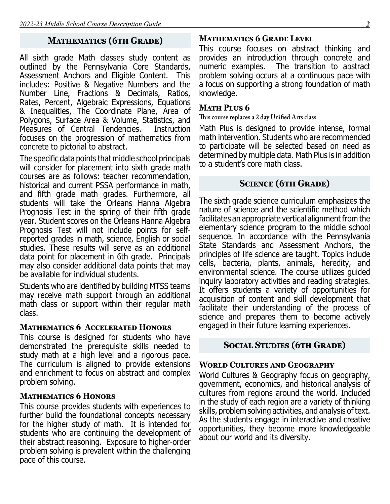# **Mathematics (6th Grade)**

All sixth grade Math classes study content as outlined by the Pennsylvania Core Standards, Assessment Anchors and Eligible Content. This includes: Positive & Negative Numbers and the Number Line, Fractions & Decimals, Ratios, Rates, Percent, Algebraic Expressions, Equations & Inequalities, The Coordinate Plane, Area of Polygons, Surface Area & Volume, Statistics, and Measures of Central Tendencies. focuses on the progression of mathematics from concrete to pictorial to abstract.

The specific data points that middle school principals will consider for placement into sixth grade math courses are as follows: teacher recommendation, historical and current PSSA performance in math, and fifth grade math grades. Furthermore, all students will take the Orleans Hanna Algebra Prognosis Test in the spring of their fifth grade year. Student scores on the Orleans Hanna Algebra Prognosis Test will not include points for selfreported grades in math, science, English or social studies. These results will serve as an additional data point for placement in 6th grade. Principals may also consider additional data points that may be available for individual students.

Students who are identified by building MTSS teams may receive math support through an additional math class or support within their regular math class.

#### **Mathematics 6 Accelerated Honors**

This course is designed for students who have demonstrated the prerequisite skills needed to study math at a high level and a rigorous pace. The curriculum is aligned to provide extensions and enrichment to focus on abstract and complex problem solving.

#### **Mathematics 6 Honors**

This course provides students with experiences to further build the foundational concepts necessary for the higher study of math. It is intended for students who are continuing the development of their abstract reasoning. Exposure to higher-order problem solving is prevalent within the challenging pace of this course.

#### **Mathematics 6 Grade Level**

This course focuses on abstract thinking and provides an introduction through concrete and numeric examples. The transition to abstract problem solving occurs at a continuous pace with a focus on supporting a strong foundation of math knowledge.

#### **Math Plus 6**

**This course replaces a 2 day Unified Arts class**

Math Plus is designed to provide intense, formal math intervention. Students who are recommended to participate will be selected based on need as determined by multiple data. Math Plus is in addition to a student's core math class.

# **Science (6th Grade)**

The sixth grade science curriculum emphasizes the nature of science and the scientific method which facilitates an appropriate vertical alignment from the elementary science program to the middle school sequence. In accordance with the Pennsylvania State Standards and Assessment Anchors, the principles of life science are taught. Topics include cells, bacteria, plants, animals, heredity, and environmental science. The course utilizes guided inquiry laboratory activities and reading strategies. It offers students a variety of opportunities for acquisition of content and skill development that facilitate their understanding of the process of science and prepares them to become actively engaged in their future learning experiences.

# **Social Studies (6th Grade)**

#### **World Cultures and Geography**

World Cultures & Geography focus on geography, government, economics, and historical analysis of cultures from regions around the world. Included in the study of each region are a variety of thinking skills, problem solving activities, and analysis of text. As the students engage in interactive and creative opportunities, they become more knowledgeable about our world and its diversity.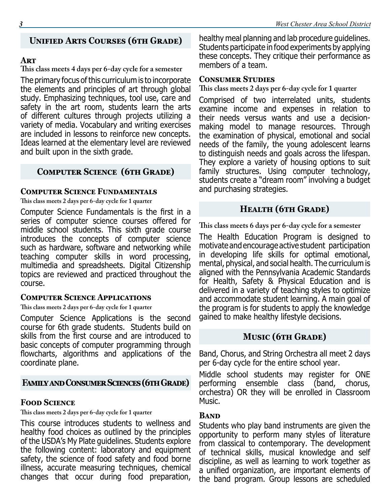# **Unified Arts Courses (6th Grade)**

#### **Art**

**This class meets 4 days per 6-day cycle for a semester**

The primary focus of this curriculum is to incorporate the elements and principles of art through global study. Emphasizing techniques, tool use, care and safety in the art room, students learn the arts of different cultures through projects utilizing a variety of media. Vocabulary and writing exercises are included in lessons to reinforce new concepts. Ideas learned at the elementary level are reviewed and built upon in the sixth grade.

# **Computer Science (6th Grade)**

#### **Computer Science Fundamentals**

**This class meets 2 days per 6-day cycle for 1 quarter**

Computer Science Fundamentals is the first in a series of computer science courses offered for middle school students. This sixth grade course introduces the concepts of computer science such as hardware, software and networking while teaching computer skills in word processing, multimedia and spreadsheets. Digital Citizenship topics are reviewed and practiced throughout the course.

#### **Computer Science Applications**

**This class meets 2 days per 6-day cycle for 1 quarter**

Computer Science Applications is the second course for 6th grade students. Students build on skills from the first course and are introduced to basic concepts of computer programming through flowcharts, algorithms and applications of the coordinate plane.

# **Family and Consumer Sciences (6th Grade)**

# **Food Science**

**This class meets 2 days per 6-day cycle for 1 quarter**

This course introduces students to wellness and healthy food choices as outlined by the principles of the USDA's My Plate guidelines. Students explore the following content: laboratory and equipment safety, the science of food safety and food borne illness, accurate measuring techniques, chemical changes that occur during food preparation,

healthy meal planning and lab procedure guidelines. Students participate in food experiments by applying these concepts. They critique their performance as members of a team.

### **Consumer Studies**

**This class meets 2 days per 6-day cycle for 1 quarter**

Comprised of two interrelated units, students examine income and expenses in relation to their needs versus wants and use a decisionmaking model to manage resources. Through the examination of physical, emotional and social needs of the family, the young adolescent learns to distinguish needs and goals across the lifespan. They explore a variety of housing options to suit family structures. Using computer technology, students create a "dream room" involving a budget and purchasing strategies.

# **Health (6th Grade)**

**This class meets 6 days per 6-day cycle for a semester**

The Health Education Program is designed to motivate and encourage active student participation in developing life skills for optimal emotional, mental, physical, and social health. The curriculum is aligned with the Pennsylvania Academic Standards for Health, Safety & Physical Education and is delivered in a variety of teaching styles to optimize and accommodate student learning. A main goal of the program is for students to apply the knowledge gained to make healthy lifestyle decisions.

# **Music (6th Grade)**

Band, Chorus, and String Orchestra all meet 2 days per 6-day cycle for the entire school year.

Middle school students may register for ONE performing ensemble class (band, chorus, orchestra) OR they will be enrolled in Classroom Music.

# **Band**

Students who play band instruments are given the opportunity to perform many styles of literature from classical to contemporary. The development of technical skills, musical knowledge and self discipline, as well as learning to work together as a unified organization, are important elements of the band program. Group lessons are scheduled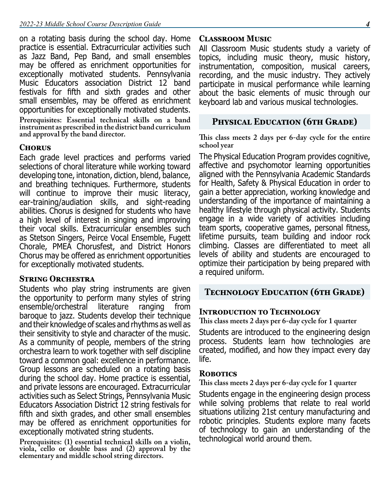on a rotating basis during the school day. Home practice is essential. Extracurricular activities such as Jazz Band, Pep Band, and small ensembles may be offered as enrichment opportunities for exceptionally motivated students. Pennsylvania Music Educators association District 12 band festivals for fifth and sixth grades and other small ensembles, may be offered as enrichment opportunities for exceptionally motivated students.

**Prerequisites: Essential technical skills on a band instrument as prescribed in the district band curriculum and approval by the band director.**

#### **Chorus**

Each grade level practices and performs varied selections of choral literature while working toward developing tone, intonation, diction, blend, balance, and breathing techniques. Furthermore, students will continue to improve their music literacy, ear-training/audiation skills, and sight-reading abilities. Chorus is designed for students who have a high level of interest in singing and improving their vocal skills. Extracurricular ensembles such as Stetson Singers, Peirce Vocal Ensemble, Fugett Chorale, PMEA Chorusfest, and District Honors Chorus may be offered as enrichment opportunities for exceptionally motivated students.

#### **String Orchestra**

Students who play string instruments are given the opportunity to perform many styles of string ensemble/orchestral literature ranging from baroque to jazz. Students develop their technique and their knowledge of scales and rhythms as well as their sensitivity to style and character of the music. As a community of people, members of the string orchestra learn to work together with self discipline toward a common goal: excellence in performance. Group lessons are scheduled on a rotating basis during the school day. Home practice is essential, and private lessons are encouraged. Extracurricular activities such as Select Strings, Pennsylvania Music Educators Association District 12 string festivals for fifth and sixth grades, and other small ensembles may be offered as enrichment opportunities for exceptionally motivated string students.

**Prerequisites: (1) essential technical skills on a violin, viola, cello or double bass and (2) approval by the elementary and middle school string directors.**

# **Classroom Music**

All Classroom Music students study a variety of topics, including music theory, music history, instrumentation, composition, musical careers, recording, and the music industry. They actively participate in musical performance while learning about the basic elements of music through our keyboard lab and various musical technologies.

# **Physical Education (6th Grade)**

**This class meets 2 days per 6-day cycle for the entire school year**

The Physical Education Program provides cognitive, affective and psychomotor learning opportunities aligned with the Pennsylvania Academic Standards for Health, Safety & Physical Education in order to gain a better appreciation, working knowledge and understanding of the importance of maintaining a healthy lifestyle through physical activity. Students engage in a wide variety of activities including team sports, cooperative games, personal fitness, lifetime pursuits, team building and indoor rock climbing. Classes are differentiated to meet all levels of ability and students are encouraged to optimize their participation by being prepared with a required uniform.

# **Technology Education (6th Grade)**

# **Introduction to Technology**

**This class meets 2 days per 6-day cycle for 1 quarter**

Students are introduced to the engineering design process. Students learn how technologies are created, modified, and how they impact every day life.

# **Robotics**

**This class meets 2 days per 6-day cycle for 1 quarter**

Students engage in the engineering design process while solving problems that relate to real world situations utilizing 21st century manufacturing and robotic principles. Students explore many facets of technology to gain an understanding of the technological world around them.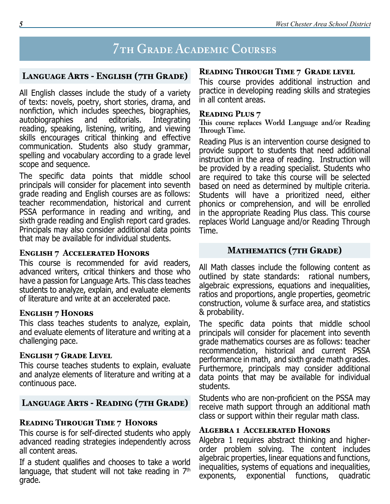# **7th Grade Academic Courses**

# **Language Arts - English (7th Grade)**

All English classes include the study of a variety of texts: novels, poetry, short stories, drama, and nonfiction, which includes speeches, biographies, autobiographies and reading, speaking, listening, writing, and viewing skills encourages critical thinking and effective communication. Students also study grammar, spelling and vocabulary according to a grade level scope and sequence.

The specific data points that middle school principals will consider for placement into seventh grade reading and English courses are as follows: teacher recommendation, historical and current PSSA performance in reading and writing, and sixth grade reading and English report card grades. Principals may also consider additional data points that may be available for individual students.

#### **English 7 Accelerated Honors**

This course is recommended for avid readers, advanced writers, critical thinkers and those who have a passion for Language Arts. This class teaches students to analyze, explain, and evaluate elements of literature and write at an accelerated pace.

#### **English 7 Honors**

This class teaches students to analyze, explain, and evaluate elements of literature and writing at a challenging pace.

# **English 7 Grade Level**

This course teaches students to explain, evaluate and analyze elements of literature and writing at a continuous pace.

# **Language Arts - Reading (7th Grade)**

# **Reading Through Time 7 Honors**

This course is for self-directed students who apply advanced reading strategies independently across all content areas.

If a student qualifies and chooses to take a world language, that student will not take reading in  $7<sup>th</sup>$ grade.

# **Reading Through Time 7 Grade level**

This course provides additional instruction and practice in developing reading skills and strategies in all content areas.

# **Reading Plus 7**

**This course replaces World Language and/or Reading Through Time.**

Reading Plus is an intervention course designed to provide support to students that need additional instruction in the area of reading. Instruction will be provided by a reading specialist. Students who are required to take this course will be selected based on need as determined by multiple criteria. Students will have a prioritized need, either phonics or comprehension, and will be enrolled in the appropriate Reading Plus class. This course replaces World Language and/or Reading Through Time.

# **Mathematics (7th Grade)**

All Math classes include the following content as outlined by state standards: rational numbers, algebraic expressions, equations and inequalities, ratios and proportions, angle properties, geometric construction, volume & surface area, and statistics & probability.

The specific data points that middle school principals will consider for placement into seventh grade mathematics courses are as follows: teacher recommendation, historical and current PSSA performance in math, and sixth grade math grades. Furthermore, principals may consider additional data points that may be available for individual students.

Students who are non-proficient on the PSSA may receive math support through an additional math class or support within their regular math class.

# **Algebra 1 Accelerated Honors**

Algebra 1 requires abstract thinking and higherorder problem solving. The content includes algebraic properties, linear equations and functions, inequalities, systems of equations and inequalities, exponents, exponential functions, quadratic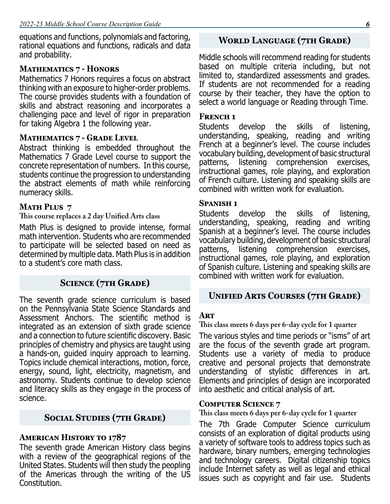equations and functions, polynomials and factoring, rational equations and functions, radicals and data and probability.

# **Mathematics 7 - Honors**

Mathematics 7 Honors requires a focus on abstract thinking with an exposure to higher-order problems. The course provides students with a foundation of skills and abstract reasoning and incorporates a challenging pace and level of rigor in preparation for taking Algebra 1 the following year.

# **Mathematics 7 - Grade Level**

Abstract thinking is embedded throughout the Mathematics 7 Grade Level course to support the concrete representation of numbers. In this course, students continue the progression to understanding the abstract elements of math while reinforcing numeracy skills.

# **MATH PLUS 7**

#### **This course replaces a 2 day Unified Arts class**

Math Plus is designed to provide intense, formal math intervention. Students who are recommended to participate will be selected based on need as determined by multiple data. Math Plus is in addition to a student's core math class.

# **Science (7th Grade)**

The seventh grade science curriculum is based on the Pennsylvania State Science Standards and Assessment Anchors. The scientific method is integrated as an extension of sixth grade science and a connection to future scientific discovery. Basic principles of chemistry and physics are taught using a hands-on, guided inquiry approach to learning. Topics include chemical interactions, motion, force, energy, sound, light, electricity, magnetism, and astronomy. Students continue to develop science and literacy skills as they engage in the process of science.

# **Social Studies (7th Grade)**

# **American History to 1787**

The seventh grade American History class begins with a review of the geographical regions of the United States. Students will then study the peopling of the Americas through the writing of the US Constitution.

# **World Language (7th Grade)**

Middle schools will recommend reading for students based on multiple criteria including, but not limited to, standardized assessments and grades. If students are not recommended for a reading course by their teacher, they have the option to select a world language or Reading through Time.

# **FRENCH 1**

Students develop the skills of listening, understanding, speaking, reading and writing French at a beginner's level. The course includes vocabulary building, development of basic structural patterns, listening comprehension exercises, instructional games, role playing, and exploration of French culture. Listening and speaking skills are combined with written work for evaluation.

#### **Spanish 1**

Students develop the skills of listening, understanding, speaking, reading and writing Spanish at a beginner's level. The course includes vocabulary building, development of basic structural patterns, listening comprehension exercises, instructional games, role playing, and exploration of Spanish culture. Listening and speaking skills are combined with written work for evaluation.

# **Unified Arts Courses (7th Grade)**

# **Art**

**This class meets 6 days per 6-day cycle for 1 quarter**

The various styles and time periods or "isms" of art are the focus of the seventh grade art program. Students use a variety of media to produce creative and personal projects that demonstrate understanding of stylistic differences in art. Elements and principles of design are incorporated into aesthetic and critical analysis of art.

# **Computer Science 7**

**This class meets 6 days per 6-day cycle for 1 quarter**

The 7th Grade Computer Science curriculum consists of an exploration of digital products using a variety of software tools to address topics such as hardware, binary numbers, emerging technologies and technology careers. Digital citizenship topics include Internet safety as well as legal and ethical issues such as copyright and fair use. Students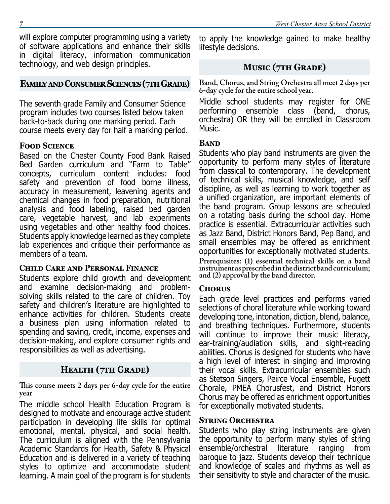will explore computer programming using a variety of software applications and enhance their skills in digital literacy, information communication technology, and web design principles.

# **Family and Consumer Sciences (7th Grade)**

The seventh grade Family and Consumer Science program includes two courses listed below taken back-to-back during one marking period. Each course meets every day for half a marking period.

# **Food Science**

Based on the Chester County Food Bank Raised Bed Garden curriculum and "Farm to Table" concepts, curriculum content includes: food safety and prevention of food borne illness, accuracy in measurement, leavening agents and chemical changes in food preparation, nutritional analysis and food labeling, raised bed garden care, vegetable harvest, and lab experiments using vegetables and other healthy food choices. Students apply knowledge learned as they complete lab experiences and critique their performance as members of a team.

# **Child Care and Personal Finance**

Students explore child growth and development and examine decision-making and problemsolving skills related to the care of children. Toy safety and children's literature are highlighted to enhance activities for children. Students create a business plan using information related to spending and saving, credit, income, expenses and decision-making, and explore consumer rights and responsibilities as well as advertising.

# **Health (7th Grade)**

**This course meets 2 days per 6-day cycle for the entire year**

The middle school Health Education Program is designed to motivate and encourage active student participation in developing life skills for optimal emotional, mental, physical, and social health. The curriculum is aligned with the Pennsylvania Academic Standards for Health, Safety & Physical Education and is delivered in a variety of teaching styles to optimize and accommodate student learning. A main goal of the program is for students

*7 West Chester Area School District* to apply the knowledge gained to make healthy

# **Music (7th Grade)**

**Band, Chorus, and String Orchestra all meet 2 days per 6-day cycle for the entire school year.**

Middle school students may register for ONE performing ensemble class (band, chorus, orchestra) OR they will be enrolled in Classroom Music.

# **Band**

lifestyle decisions.

Students who play band instruments are given the opportunity to perform many styles of literature from classical to contemporary. The development of technical skills, musical knowledge, and self discipline, as well as learning to work together as a unified organization, are important elements of the band program. Group lessons are scheduled on a rotating basis during the school day. Home practice is essential. Extracurricular activities such as Jazz Band, District Honors Band, Pep Band, and small ensembles may be offered as enrichment opportunities for exceptionally motivated students.

**Prerequisites: (1) essential technical skills on a band instrument as prescribed in the district band curriculum; and (2) approval by the band director.**

#### **Chorus**

Each grade level practices and performs varied selections of choral literature while working toward developing tone, intonation, diction, blend, balance, and breathing techniques. Furthermore, students will continue to improve their music literacy, ear-training/audiation skills, and sight-reading abilities. Chorus is designed for students who have a high level of interest in singing and improving their vocal skills. Extracurricular ensembles such as Stetson Singers, Peirce Vocal Ensemble, Fugett Chorale, PMEA Chorusfest, and District Honors Chorus may be offered as enrichment opportunities for exceptionally motivated students.

#### **STRING ORCHESTRA**

Students who play string instruments are given the opportunity to perform many styles of string<br>ensemble/orchestral literature ranging from ensemble/orchestral literature ranging from baroque to jazz. Students develop their technique and knowledge of scales and rhythms as well as their sensitivity to style and character of the music.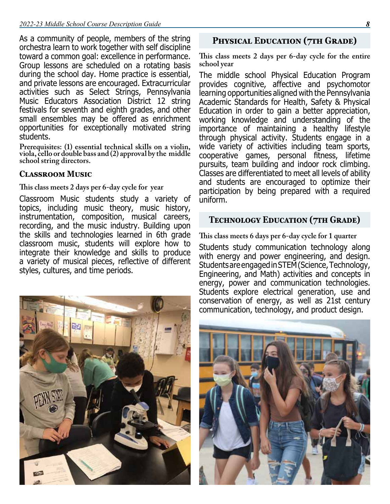As a community of people, members of the string orchestra learn to work together with self discipline toward a common goal: excellence in performance. Group lessons are scheduled on a rotating basis during the school day. Home practice is essential, and private lessons are encouraged. Extracurricular activities such as Select Strings, Pennsylvania Music Educators Association District 12 string festivals for seventh and eighth grades, and other small ensembles may be offered as enrichment opportunities for exceptionally motivated string students.

**Prerequisites: (1) essential technical skills on a violin, viola, cello or double bass and (2) approval by the middle school string directors.**

#### **Classroom Music**

**This class meets 2 days per 6-day cycle for year**

Classroom Music students study a variety of topics, including music theory, music history, instrumentation, composition, musical careers, recording, and the music industry. Building upon the skills and technologies learned in 6th grade classroom music, students will explore how to integrate their knowledge and skills to produce a variety of musical pieces, reflective of different styles, cultures, and time periods.

# **Physical Education (7th Grade)**

**This class meets 2 days per 6-day cycle for the entire school year**

The middle school Physical Education Program provides cognitive, affective and psychomotor learning opportunities aligned with the Pennsylvania Academic Standards for Health, Safety & Physical Education in order to gain a better appreciation, working knowledge and understanding of the importance of maintaining a healthy lifestyle through physical activity. Students engage in a wide variety of activities including team sports, cooperative games, personal fitness, lifetime pursuits, team building and indoor rock climbing. Classes are differentiated to meet all levels of ability and students are encouraged to optimize their participation by being prepared with a required uniform.

# **Technology Education (7th Grade)**

**This class meets 6 days per 6-day cycle for 1 quarter** Students study communication technology along with energy and power engineering, and design. Students are engaged in STEM (Science, Technology, Engineering, and Math) activities and concepts in energy, power and communication technologies. Students explore electrical generation, use and conservation of energy, as well as 21st century communication, technology, and product design.



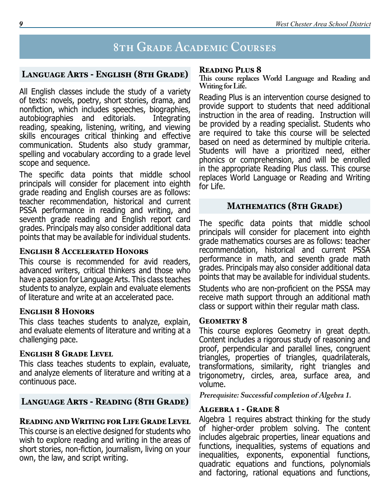# **8th Grade Academic Courses**

# **Language Arts - English (8th Grade)**

All English classes include the study of a variety of texts: novels, poetry, short stories, drama, and nonfiction, which includes speeches, biographies,<br>autobiographies and editorials. Integrating autobiographies and editorials. reading, speaking, listening, writing, and viewing skills encourages critical thinking and effective communication. Students also study grammar, spelling and vocabulary according to a grade level scope and sequence.

The specific data points that middle school principals will consider for placement into eighth grade reading and English courses are as follows: teacher recommendation, historical and current PSSA performance in reading and writing, and seventh grade reading and English report card grades. Principals may also consider additional data points that may be available for individual students.

# **English 8 Accelerated Honors**

This course is recommended for avid readers, advanced writers, critical thinkers and those who have a passion for Language Arts. This class teaches students to analyze, explain and evaluate elements of literature and write at an accelerated pace.

#### **English 8 Honors**

This class teaches students to analyze, explain, and evaluate elements of literature and writing at a challenging pace.

# **English 8 Grade Level**

This class teaches students to explain, evaluate, and analyze elements of literature and writing at a continuous pace.

# **Language Arts - Reading (8th Grade)**

# **Reading and Writing for Life Grade Level**

This course is an elective designed for students who wish to explore reading and writing in the areas of short stories, non-fiction, journalism, living on your own, the law, and script writing.

# **Reading Plus 8**

**This course replaces World Language and Reading and Writing for Life.**

Reading Plus is an intervention course designed to provide support to students that need additional instruction in the area of reading. Instruction will be provided by a reading specialist. Students who are required to take this course will be selected based on need as determined by multiple criteria. Students will have a prioritized need, either phonics or comprehension, and will be enrolled in the appropriate Reading Plus class. This course replaces World Language or Reading and Writing for Life.

# **Mathematics (8th Grade)**

The specific data points that middle school principals will consider for placement into eighth grade mathematics courses are as follows: teacher recommendation, historical and current PSSA performance in math, and seventh grade math grades. Principals may also consider additional data points that may be available for individual students.

Students who are non-proficient on the PSSA may receive math support through an additional math class or support within their regular math class.

#### GEOMETRY 8

This course explores Geometry in great depth. Content includes a rigorous study of reasoning and proof, perpendicular and parallel lines, congruent triangles, properties of triangles, quadrilaterals, transformations, similarity, right triangles and trigonometry, circles, area, surface area, and volume.

**Prerequisite: Successful completion of Algebra 1.**

# **Algebra 1 - Grade 8**

Algebra 1 requires abstract thinking for the study of higher-order problem solving. The content includes algebraic properties, linear equations and functions, inequalities, systems of equations and inequalities, exponents, exponential functions, quadratic equations and functions, polynomials and factoring, rational equations and functions,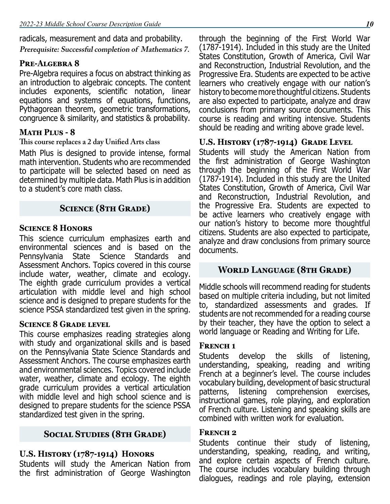radicals, measurement and data and probability.

**Prerequisite: Successful completion of Mathematics 7.**

### **Pre-Algebra 8**

Pre-Algebra requires a focus on abstract thinking as an introduction to algebraic concepts. The content includes exponents, scientific notation, linear equations and systems of equations, functions, Pythagorean theorem, geometric transformations, congruence & similarity, and statistics & probability.

# **Math Plus - 8**

#### **This course replaces a 2 day Unified Arts class**

Math Plus is designed to provide intense, formal math intervention. Students who are recommended to participate will be selected based on need as determined by multiple data. Math Plus is in addition to a student's core math class.

# **Science (8th Grade)**

#### **Science 8 Honors**

This science curriculum emphasizes earth and environmental sciences and is based on the Pennsylvania State Science Standards and Assessment Anchors. Topics covered in this course include water, weather, climate and ecology. The eighth grade curriculum provides a vertical articulation with middle level and high school science and is designed to prepare students for the science PSSA standardized test given in the spring.

#### **Science 8 Grade level**

This course emphasizes reading strategies along with study and organizational skills and is based on the Pennsylvania State Science Standards and Assessment Anchors. The course emphasizes earth and environmental sciences. Topics covered include water, weather, climate and ecology. The eighth grade curriculum provides a vertical articulation with middle level and high school science and is designed to prepare students for the science PSSA standardized test given in the spring.

# **Social Studies (8th Grade)**

# **U.S. History (1787-1914) Honors**

Students will study the American Nation from the first administration of George Washington through the beginning of the First World War (1787-1914). Included in this study are the United States Constitution, Growth of America, Civil War and Reconstruction, Industrial Revolution, and the Progressive Era. Students are expected to be active learners who creatively engage with our nation's history to become more thoughtful citizens. Students are also expected to participate, analyze and draw conclusions from primary source documents. This course is reading and writing intensive. Students should be reading and writing above grade level.

#### **U.S. History (1787-1914) Grade Level**

Students will study the American Nation from the first administration of George Washington through the beginning of the First World War (1787-1914). Included in this study are the United States Constitution, Growth of America, Civil War and Reconstruction, Industrial Revolution, and the Progressive Era. Students are expected to be active learners who creatively engage with our nation's history to become more thoughtful citizens. Students are also expected to participate, analyze and draw conclusions from primary source documents.

# **World Language (8th Grade)**

Middle schools will recommend reading for students based on multiple criteria including, but not limited to, standardized assessments and grades. If students are not recommended for a reading course by their teacher, they have the option to select a world language or Reading and Writing for Life.

#### **French 1**

Students develop the skills of listening, understanding, speaking, reading and writing French at a beginner's level. The course includes vocabulary building, development of basic structural patterns, listening comprehension exercises, instructional games, role playing, and exploration of French culture. Listening and speaking skills are combined with written work for evaluation.

#### **French 2**

Students continue their study of listening, understanding, speaking, reading, and writing, and explore certain aspects of French culture. The course includes vocabulary building through dialogues, readings and role playing, extension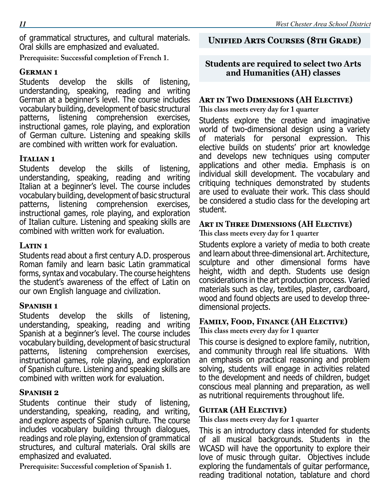of grammatical structures, and cultural materials. Oral skills are emphasized and evaluated.

**Prerequisite: Successful completion of French 1.**

# **German 1**

Students develop the skills of listening, understanding, speaking, reading and writing German at a beginner's level. The course includes vocabulary building, development of basic structural patterns, listening comprehension exercises, instructional games, role playing, and exploration of German culture. Listening and speaking skills are combined with written work for evaluation.

# **Italian 1**

Students develop the skills of listening, understanding, speaking, reading and writing Italian at a beginner's level. The course includes vocabulary building, development of basic structural patterns, listening comprehension exercises, instructional games, role playing, and exploration of Italian culture. Listening and speaking skills are combined with written work for evaluation.

# **LATIN 1**

Students read about a first century A.D. prosperous Roman family and learn basic Latin grammatical forms, syntax and vocabulary. The course heightens the student's awareness of the effect of Latin on our own English language and civilization.

# **Spanish 1**

Students develop the skills of listening, understanding, speaking, reading and writing Spanish at a beginner's level. The course includes vocabulary building, development of basic structural patterns, listening comprehension exercises, instructional games, role playing, and exploration of Spanish culture. Listening and speaking skills are combined with written work for evaluation.

# **Spanish 2**

Students continue their study of listening, understanding, speaking, reading, and writing, and explore aspects of Spanish culture. The course includes vocabulary building through dialogues, readings and role playing, extension of grammatical structures, and cultural materials. Oral skills are emphasized and evaluated.

**Prerequisite: Successful completion of Spanish 1.**

# **Unified Arts Courses (8th Grade)**

# **Students are required to select two Arts and Humanities (AH) classes**

# **Art in Two Dimensions (AH Elective)**

**This class meets every day for 1 quarter**

Students explore the creative and imaginative world of two-dimensional design using a variety of materials for personal expression. This elective builds on students' prior art knowledge and develops new techniques using computer applications and other media. Emphasis is on individual skill development. The vocabulary and critiquing techniques demonstrated by students are used to evaluate their work. This class should be considered a studio class for the developing art student.

# **Art in Three Dimensions (AH Elective)**

**This class meets every day for 1 quarter**

Students explore a variety of media to both create and learn about three-dimensional art. Architecture, sculpture and other dimensional forms have height, width and depth. Students use design considerations in the art production process. Varied materials such as clay, textiles, plaster, cardboard, wood and found objects are used to develop threedimensional projects.

# **Family, Food, Finance (AH Elective)**

**This class meets every day for 1 quarter**

This course is designed to explore family, nutrition, and community through real life situations. With an emphasis on practical reasoning and problem solving, students will engage in activities related to the development and needs of children, budget conscious meal planning and preparation, as well as nutritional requirements throughout life.

# **Guitar (AH Elective)**

**This class meets every day for 1 quarter**

This is an introductory class intended for students of all musical backgrounds. Students in the WCASD will have the opportunity to explore their love of music through guitar. Objectives include exploring the fundamentals of guitar performance, reading traditional notation, tablature and chord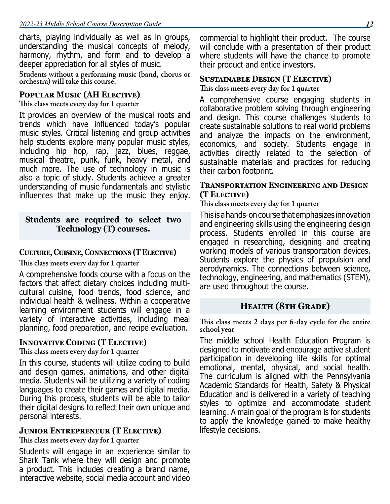charts, playing individually as well as in groups, understanding the musical concepts of melody, harmony, rhythm, and form and to develop a deeper appreciation for all styles of music.

**Students without a performing music (band, chorus or orchestra) will take this course.**

#### **Popular Music (AH Elective)**

**This class meets every day for 1 quarter**

It provides an overview of the musical roots and trends which have influenced today's popular music styles. Critical listening and group activities help students explore many popular music styles, including hip hop, rap, jazz, blues, reggae, musical theatre, punk, funk, heavy metal, and much more. The use of technology in music is also a topic of study. Students achieve a greater understanding of music fundamentals and stylistic influences that make up the music they enjoy.

#### **Students are required to select two Technology (T) courses.**

### **Culture, Cuisine, Connections (T Elective)**

**This class meets every day for 1 quarter**

A comprehensive foods course with a focus on the factors that affect dietary choices including multicultural cuisine, food trends, food science, and individual health & wellness. Within a cooperative learning environment students will engage in a variety of interactive activities, including meal planning, food preparation, and recipe evaluation.

#### **Innovative Coding (T Elective)**

**This class meets every day for 1 quarter**

In this course, students will utilize coding to build and design games, animations, and other digital media. Students will be utilizing a variety of coding languages to create their games and digital media. During this process, students will be able to tailor their digital designs to reflect their own unique and personal interests.

#### **Junior Entrepreneur (T Elective)**

**This class meets every day for 1 quarter**

Students will engage in an experience similar to Shark Tank where they will design and promote a product. This includes creating a brand name, interactive website, social media account and video

commercial to highlight their product. The course will conclude with a presentation of their product where students will have the chance to promote their product and entice investors.

# **Sustainable Design (T Elective)**

**This class meets every day for 1 quarter**

A comprehensive course engaging students in collaborative problem solving through engineering and design. This course challenges students to create sustainable solutions to real world problems and analyze the impacts on the environment, economics, and society. Students engage in activities directly related to the selection of sustainable materials and practices for reducing their carbon footprint.

#### **Transportation Engineering and Design (T Elective)**

**This class meets every day for 1 quarter**

This is a hands-on course that emphasizes innovation and engineering skills using the engineering design process. Students enrolled in this course are engaged in researching, designing and creating working models of various transportation devices. Students explore the physics of propulsion and aerodynamics. The connections between science, technology, engineering, and mathematics (STEM), are used throughout the course.

# **Health (8th Grade)**

**This class meets 2 days per 6-day cycle for the entire school year**

The middle school Health Education Program is designed to motivate and encourage active student participation in developing life skills for optimal emotional, mental, physical, and social health. The curriculum is aligned with the Pennsylvania Academic Standards for Health, Safety & Physical Education and is delivered in a variety of teaching styles to optimize and accommodate student learning. A main goal of the program is for students to apply the knowledge gained to make healthy lifestyle decisions.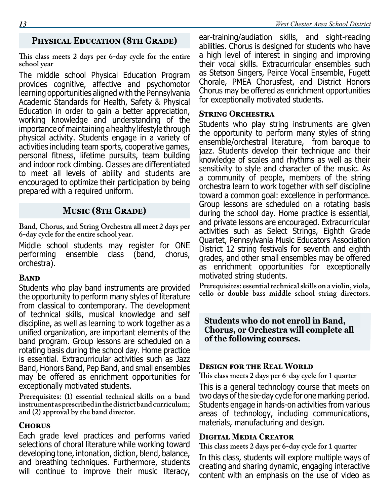# **Physical Education (8th Grade)**

**This class meets 2 days per 6-day cycle for the entire school year**

The middle school Physical Education Program provides cognitive, affective and psychomotor learning opportunities aligned with the Pennsylvania Academic Standards for Health, Safety & Physical Education in order to gain a better appreciation, working knowledge and understanding of the importance of maintaining a healthy lifestyle through physical activity. Students engage in a variety of activities including team sports, cooperative games, personal fitness, lifetime pursuits, team building and indoor rock climbing. Classes are differentiated to meet all levels of ability and students are encouraged to optimize their participation by being prepared with a required uniform.

# **Music (8th Grade)**

**Band, Chorus, and String Orchestra all meet 2 days per 6-day cycle for the entire school year.**

Middle school students may register for ONE<br>performing ensemble class (band, chorus, ensemble class (band, chorus, orchestra).

#### **Band**

Students who play band instruments are provided the opportunity to perform many styles of literature from classical to contemporary. The development of technical skills, musical knowledge and self discipline, as well as learning to work together as a unified organization, are important elements of the band program. Group lessons are scheduled on a rotating basis during the school day. Home practice is essential. Extracurricular activities such as Jazz Band, Honors Band, Pep Band, and small ensembles may be offered as enrichment opportunities for exceptionally motivated students.

**Prerequisites: (1) essential technical skills on a band instrument as prescribed in the district band curriculum; and (2) approval by the band director.**

#### **Chorus**

Each grade level practices and performs varied selections of choral literature while working toward developing tone, intonation, diction, blend, balance, and breathing techniques. Furthermore, students will continue to improve their music literacy,

ear-training/audiation skills, and sight-reading abilities. Chorus is designed for students who have a high level of interest in singing and improving their vocal skills. Extracurricular ensembles such as Stetson Singers, Peirce Vocal Ensemble, Fugett Chorale, PMEA Chorusfest, and District Honors Chorus may be offered as enrichment opportunities for exceptionally motivated students.

#### **STRING ORCHESTRA**

Students who play string instruments are given the opportunity to perform many styles of string ensemble/orchestral literature, from baroque to jazz. Students develop their technique and their knowledge of scales and rhythms as well as their sensitivity to style and character of the music. As a community of people, members of the string orchestra learn to work together with self discipline toward a common goal: excellence in performance. Group lessons are scheduled on a rotating basis during the school day. Home practice is essential, and private lessons are encouraged. Extracurricular activities such as Select Strings, Eighth Grade Quartet, Pennsylvania Music Educators Association District 12 string festivals for seventh and eighth grades, and other small ensembles may be offered as enrichment opportunities for exceptionally motivated string students.

**Prerequisites: essential technical skills on a violin, viola, cello or double bass middle school string directors.**

**Students who do not enroll in Band, Chorus, or Orchestra will complete all of the following courses.**

#### **DESIGN FOR THE REAL WORLD**

**This class meets 2 days per 6-day cycle for 1 quarter**

This is a general technology course that meets on two days of the six-day cycle for one marking period. Students engage in hands-on activities from various areas of technology, including communications, materials, manufacturing and design.

#### **Digital Media Creator**

**This class meets 2 days per 6-day cycle for 1 quarter**

In this class, students will explore multiple ways of creating and sharing dynamic, engaging interactive content with an emphasis on the use of video as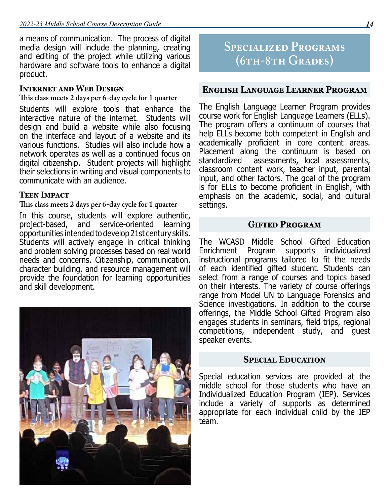a means of communication. The process of digital media design will include the planning, creating and editing of the project while utilizing various hardware and software tools to enhance a digital product.

#### **Internet and Web Design**

**This class meets 2 days per 6-day cycle for 1 quarter**

Students will explore tools that enhance the interactive nature of the internet. Students will design and build a website while also focusing on the interface and layout of a website and its various functions. Studies will also include how a network operates as well as a continued focus on digital citizenship. Student projects will highlight their selections in writing and visual components to communicate with an audience.

#### **Teen Impact**

#### **This class meets 2 days per 6-day cycle for 1 quarter**

In this course, students will explore authentic, project-based, and service-oriented learning opportunities intended to develop 21st century skills. Students will actively engage in critical thinking and problem solving processes based on real world needs and concerns. Citizenship, communication, character building, and resource management will provide the foundation for learning opportunities and skill development.



# **Specialized Programs (6th-8th Grades)**

#### **English Language Learner Program**

The English Language Learner Program provides course work for English Language Learners (ELLs). The program offers a continuum of courses that help ELLs become both competent in English and academically proficient in core content areas. Placement along the continuum is based on standardized assessments, local assessments, classroom content work, teacher input, parental input, and other factors. The goal of the program is for ELLs to become proficient in English, with emphasis on the academic, social, and cultural settings.

#### **Gifted Program**

The WCASD Middle School Gifted Education supports individualized instructional programs tailored to fit the needs of each identified gifted student. Students can select from a range of courses and topics based on their interests. The variety of course offerings range from Model UN to Language Forensics and Science investigations. In addition to the course offerings, the Middle School Gifted Program also engages students in seminars, field trips, regional competitions, independent study, and guest speaker events.

#### **Special Education**

Special education services are provided at the middle school for those students who have an Individualized Education Program (IEP). Services include a variety of supports as determined appropriate for each individual child by the IEP team.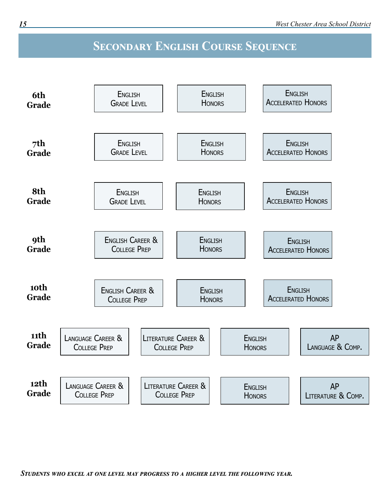# **Secondary English Course Sequence**

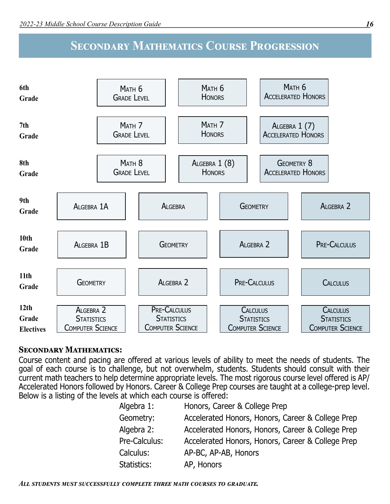# **Secondary Mathematics Course Progression**



#### **Secondary Mathematics:**

Course content and pacing are offered at various levels of ability to meet the needs of students. The goal of each course is to challenge, but not overwhelm, students. Students should consult with their current math teachers to help determine appropriate levels. The most rigorous course level offered is AP/ Accelerated Honors followed by Honors. Career & College Prep courses are taught at a college-prep level. Below is a listing of the levels at which each course is offered:

| Algebra 1:    | Honors, Career & College Prep                     |
|---------------|---------------------------------------------------|
| Geometry:     | Accelerated Honors, Honors, Career & College Prep |
| Algebra 2:    | Accelerated Honors, Honors, Career & College Prep |
| Pre-Calculus: | Accelerated Honors, Honors, Career & College Prep |
| Calculus:     | AP-BC, AP-AB, Honors                              |
| Statistics:   | AP, Honors                                        |
|               |                                                   |

*All students must successfully complete three math courses to graduate.*